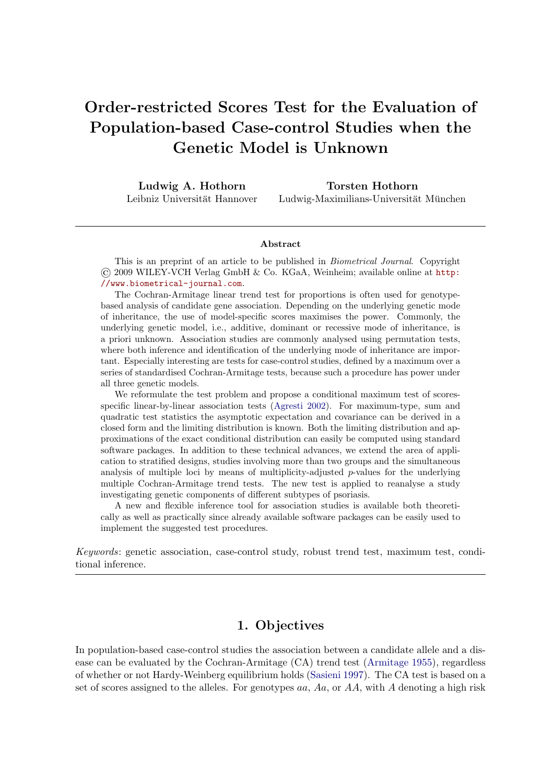# Order-restricted Scores Test for the Evaluation of Population-based Case-control Studies when the Genetic Model is Unknown

Ludwig A. Hothorn Leibniz Universität Hannover

Torsten Hothorn Ludwig-Maximilians-Universität München

#### Abstract

This is an preprint of an article to be published in *Biometrical Journal*. Copyright © 2009 WILEY-VCH Verlag GmbH & Co. KGaA, Weinheim; available online at [http:](http://www.biometrical-journal.com) [//www.biometrical-journal.com](http://www.biometrical-journal.com).

The Cochran-Armitage linear trend test for proportions is often used for genotypebased analysis of candidate gene association. Depending on the underlying genetic mode of inheritance, the use of model-specific scores maximises the power. Commonly, the underlying genetic model, i.e., additive, dominant or recessive mode of inheritance, is a priori unknown. Association studies are commonly analysed using permutation tests, where both inference and identification of the underlying mode of inheritance are important. Especially interesting are tests for case-control studies, defined by a maximum over a series of standardised Cochran-Armitage tests, because such a procedure has power under all three genetic models.

We reformulate the test problem and propose a conditional maximum test of scoresspecific linear-by-linear association tests [\(Agresti 2002\)](#page-10-0). For maximum-type, sum and quadratic test statistics the asymptotic expectation and covariance can be derived in a closed form and the limiting distribution is known. Both the limiting distribution and approximations of the exact conditional distribution can easily be computed using standard software packages. In addition to these technical advances, we extend the area of application to stratified designs, studies involving more than two groups and the simultaneous analysis of multiple loci by means of multiplicity-adjusted  $p$ -values for the underlying multiple Cochran-Armitage trend tests. The new test is applied to reanalyse a study investigating genetic components of different subtypes of psoriasis.

A new and flexible inference tool for association studies is available both theoretically as well as practically since already available software packages can be easily used to implement the suggested test procedures.

*Keywords*: genetic association, case-control study, robust trend test, maximum test, conditional inference.

## 1. Objectives

In population-based case-control studies the association between a candidate allele and a disease can be evaluated by the Cochran-Armitage (CA) trend test [\(Armitage 1955\)](#page-10-1), regardless of whether or not Hardy-Weinberg equilibrium holds [\(Sasieni 1997\)](#page-11-0). The CA test is based on a set of scores assigned to the alleles. For genotypes  $aa, Aa$ , or  $AA$ , with A denoting a high risk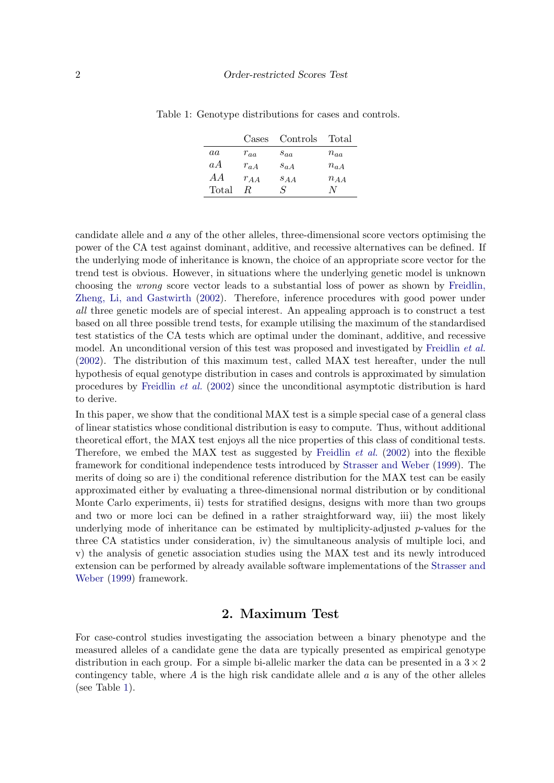<span id="page-1-0"></span>

|       | Cases    | Controls | Total    |
|-------|----------|----------|----------|
| aa    | $r_{aa}$ | $s_{aa}$ | $n_{aa}$ |
| aA    | $r_{aA}$ | $S_{a}A$ | $n_{aA}$ |
| A     | $r_{AA}$ | $S_{AA}$ | $n_{AA}$ |
| Total | R        | S        | N        |

Table 1: Genotype distributions for cases and controls.

candidate allele and a any of the other alleles, three-dimensional score vectors optimising the power of the CA test against dominant, additive, and recessive alternatives can be defined. If the underlying mode of inheritance is known, the choice of an appropriate score vector for the trend test is obvious. However, in situations where the underlying genetic model is unknown choosing the *wrong* score vector leads to a substantial loss of power as shown by [Freidlin,](#page-10-2) [Zheng, Li, and Gastwirth](#page-10-2) [\(2002\)](#page-10-2). Therefore, inference procedures with good power under *all* three genetic models are of special interest. An appealing approach is to construct a test based on all three possible trend tests, for example utilising the maximum of the standardised test statistics of the CA tests which are optimal under the dominant, additive, and recessive model. An unconditional version of this test was proposed and investigated by [Freidlin](#page-10-2) *et al.* [\(2002\)](#page-10-2). The distribution of this maximum test, called MAX test hereafter, under the null hypothesis of equal genotype distribution in cases and controls is approximated by simulation procedures by [Freidlin](#page-10-2) *et al.* [\(2002\)](#page-10-2) since the unconditional asymptotic distribution is hard to derive.

In this paper, we show that the conditional MAX test is a simple special case of a general class of linear statistics whose conditional distribution is easy to compute. Thus, without additional theoretical effort, the MAX test enjoys all the nice properties of this class of conditional tests. Therefore, we embed the MAX test as suggested by [Freidlin](#page-10-2) *et al.* [\(2002\)](#page-10-2) into the flexible framework for conditional independence tests introduced by [Strasser and Weber](#page-11-1) [\(1999\)](#page-11-1). The merits of doing so are i) the conditional reference distribution for the MAX test can be easily approximated either by evaluating a three-dimensional normal distribution or by conditional Monte Carlo experiments, ii) tests for stratified designs, designs with more than two groups and two or more loci can be defined in a rather straightforward way, iii) the most likely underlying mode of inheritance can be estimated by multiplicity-adjusted  $p$ -values for the three CA statistics under consideration, iv) the simultaneous analysis of multiple loci, and v) the analysis of genetic association studies using the MAX test and its newly introduced extension can be performed by already available software implementations of the [Strasser and](#page-11-1) [Weber](#page-11-1) [\(1999\)](#page-11-1) framework.

## 2. Maximum Test

For case-control studies investigating the association between a binary phenotype and the measured alleles of a candidate gene the data are typically presented as empirical genotype distribution in each group. For a simple bi-allelic marker the data can be presented in a  $3 \times 2$ contingency table, where  $A$  is the high risk candidate allele and  $a$  is any of the other alleles (see Table [1\)](#page-1-0).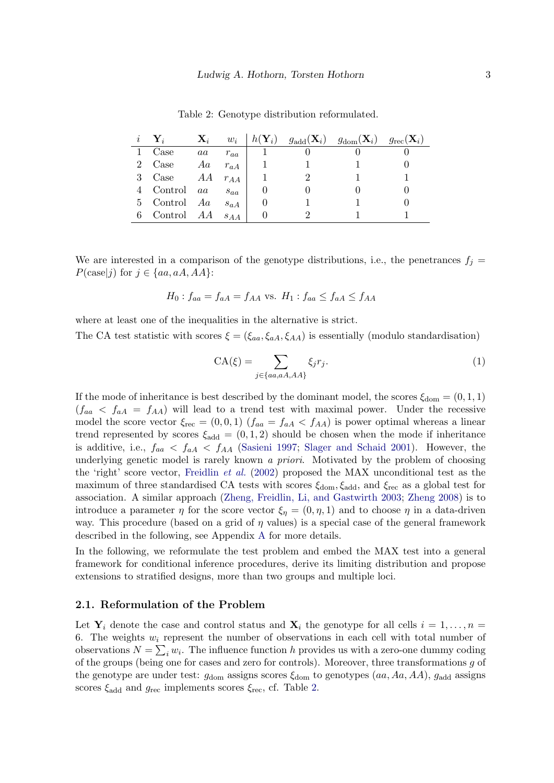|   |              | $\mathbf{X}_i$ | $w_i$    | $h(\mathbf{Y}_i)$ | $g_{\text{add}}(\mathbf{X}_i)$ | $g_{\rm dom}(\mathbf{X}_i)$ | $g_{\rm rec}(\mathbf{X}_i)$ |
|---|--------------|----------------|----------|-------------------|--------------------------------|-----------------------------|-----------------------------|
|   | Case         | $^{aa}$        | $r_{aa}$ |                   |                                |                             |                             |
|   | 2 Case       | Aa             | $r_{aA}$ |                   |                                |                             |                             |
|   | 3 Case       | AA             | $r_{AA}$ |                   |                                |                             |                             |
|   | 4 Control aa |                | $s_{aa}$ |                   |                                |                             |                             |
|   | 5 Control Aa |                | $s_{aA}$ |                   |                                |                             |                             |
| 6 | Control AA   |                | S A A    |                   |                                |                             |                             |

<span id="page-2-0"></span>Table 2: Genotype distribution reformulated.

We are interested in a comparison of the genotype distributions, i.e., the penetrances  $f_i =$  $P(\text{case}|j)$  for  $j \in \{aa, aA, AA\}$ :

$$
H_0: f_{aa} = f_{aA} = f_{AA} \text{ vs. } H_1: f_{aa} \le f_{aa} \le f_{AA}
$$

where at least one of the inequalities in the alternative is strict.

The CA test statistic with scores  $\xi = (\xi_{aa}, \xi_{AA}, \xi_{AA})$  is essentially (modulo standardisation)

<span id="page-2-1"></span>
$$
CA(\xi) = \sum_{j \in \{aa, aA, AA\}} \xi_j r_j.
$$
 (1)

If the mode of inheritance is best described by the dominant model, the scores  $\xi_{dom} = (0, 1, 1)$  $(f_{aa} < f_{aa} = f_{AA})$  will lead to a trend test with maximal power. Under the recessive model the score vector  $\xi_{\text{rec}} = (0, 0, 1)$   $(f_{aa} = f_{aA} < f_{AA})$  is power optimal whereas a linear trend represented by scores  $\xi_{\text{add}} = (0, 1, 2)$  should be chosen when the mode if inheritance is additive, i.e.,  $f_{aa} < f_{AA} < f_{AA}$  [\(Sasieni 1997;](#page-11-0) [Slager and Schaid 2001\)](#page-11-2). However, the underlying genetic model is rarely known *a priori*. Motivated by the problem of choosing the 'right' score vector, [Freidlin](#page-10-2) *et al.* [\(2002\)](#page-10-2) proposed the MAX unconditional test as the maximum of three standardised CA tests with scores  $\xi_{dom}$ ,  $\xi_{add}$ , and  $\xi_{rec}$  as a global test for association. A similar approach [\(Zheng, Freidlin, Li, and Gastwirth 2003;](#page-11-3) [Zheng 2008\)](#page-11-4) is to introduce a parameter  $\eta$  for the score vector  $\xi_{\eta} = (0, \eta, 1)$  and to choose  $\eta$  in a data-driven way. This procedure (based on a grid of  $\eta$  values) is a special case of the general framework described in the following, see Appendix [A](#page-12-0) for more details.

In the following, we reformulate the test problem and embed the MAX test into a general framework for conditional inference procedures, derive its limiting distribution and propose extensions to stratified designs, more than two groups and multiple loci.

#### 2.1. Reformulation of the Problem

Let  $Y_i$  denote the case and control status and  $X_i$  the genotype for all cells  $i = 1, \ldots, n =$ 6. The weights  $w_i$  represent the number of observations in each cell with total number of observations  $N = \sum_i w_i$ . The influence function h provides us with a zero-one dummy coding of the groups (being one for cases and zero for controls). Moreover, three transformations  $g$  of the genotype are under test:  $g_{\text{dom}}$  assigns scores  $\xi_{\text{dom}}$  to genotypes  $(aa, Aa, AA), g_{\text{add}}$  assigns scores  $\xi_{\text{add}}$  and  $g_{\text{rec}}$  implements scores  $\xi_{\text{rec}}$ , cf. Table [2.](#page-2-0)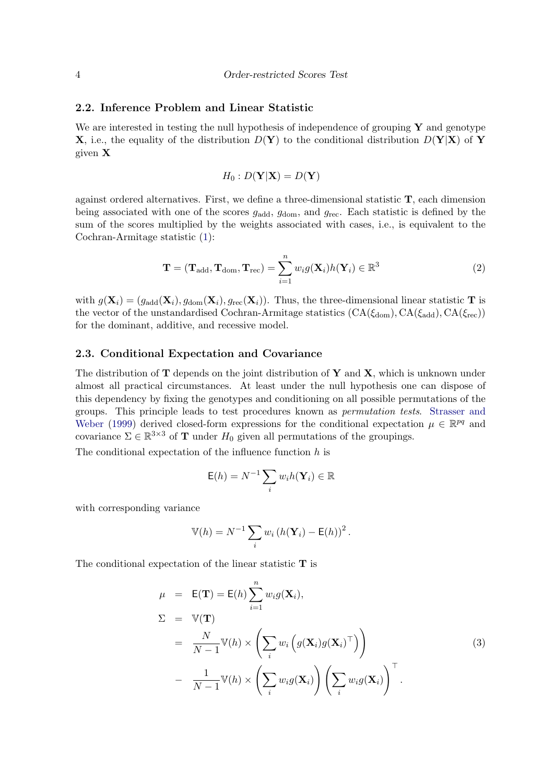#### 2.2. Inference Problem and Linear Statistic

We are interested in testing the null hypothesis of independence of grouping  $\bf{Y}$  and genotype **X**, i.e., the equality of the distribution  $D(Y)$  to the conditional distribution  $D(Y|X)$  of Y given X

$$
H_0: D(\mathbf{Y}|\mathbf{X}) = D(\mathbf{Y})
$$

against ordered alternatives. First, we define a three-dimensional statistic T, each dimension being associated with one of the scores  $g_{\text{add}}$ ,  $g_{\text{dom}}$ , and  $g_{\text{rec}}$ . Each statistic is defined by the sum of the scores multiplied by the weights associated with cases, i.e., is equivalent to the Cochran-Armitage statistic [\(1\)](#page-2-1):

<span id="page-3-0"></span>
$$
\mathbf{T} = (\mathbf{T}_{\text{add}}, \mathbf{T}_{\text{dom}}, \mathbf{T}_{\text{rec}}) = \sum_{i=1}^{n} w_i g(\mathbf{X}_i) h(\mathbf{Y}_i) \in \mathbb{R}^3
$$
 (2)

with  $g(\mathbf{X}_i) = (g_{\text{add}}(\mathbf{X}_i), g_{\text{dom}}(\mathbf{X}_i), g_{\text{rec}}(\mathbf{X}_i))$ . Thus, the three-dimensional linear statistic **T** is the vector of the unstandardised Cochran-Armitage statistics  $(CA(\xi_{dom}), CA(\xi_{add}), CA(\xi_{rec}))$ for the dominant, additive, and recessive model.

#### 2.3. Conditional Expectation and Covariance

The distribution of  $T$  depends on the joint distribution of  $Y$  and  $X$ , which is unknown under almost all practical circumstances. At least under the null hypothesis one can dispose of this dependency by fixing the genotypes and conditioning on all possible permutations of the groups. This principle leads to test procedures known as *permutation tests*. [Strasser and](#page-11-1) [Weber](#page-11-1) [\(1999\)](#page-11-1) derived closed-form expressions for the conditional expectation  $\mu \in \mathbb{R}^{pq}$  and covariance  $\Sigma \in \mathbb{R}^{3 \times 3}$  of **T** under  $H_0$  given all permutations of the groupings.

The conditional expectation of the influence function  $h$  is

$$
\mathsf{E}(h) = N^{-1} \sum_{i} w_i h(\mathbf{Y}_i) \in \mathbb{R}
$$

with corresponding variance

$$
\mathbb{V}(h) = N^{-1} \sum_i w_i (h(\mathbf{Y}_i) - \mathsf{E}(h))^2.
$$

The conditional expectation of the linear statistic  $T$  is

$$
\mu = \mathsf{E}(\mathbf{T}) = \mathsf{E}(h) \sum_{i=1}^{n} w_i g(\mathbf{X}_i),
$$
  
\n
$$
\Sigma = \mathbb{V}(\mathbf{T})
$$
  
\n
$$
= \frac{N}{N-1} \mathbb{V}(h) \times \left( \sum_i w_i \left( g(\mathbf{X}_i) g(\mathbf{X}_i)^\top \right) \right)
$$
  
\n
$$
- \frac{1}{N-1} \mathbb{V}(h) \times \left( \sum_i w_i g(\mathbf{X}_i) \right) \left( \sum_i w_i g(\mathbf{X}_i) \right)^\top.
$$
  
\n(3)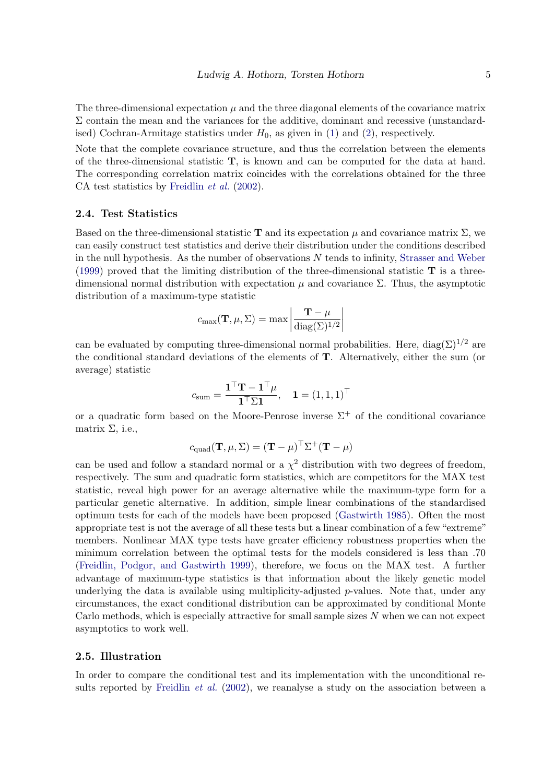The three-dimensional expectation  $\mu$  and the three diagonal elements of the covariance matrix  $\Sigma$  contain the mean and the variances for the additive, dominant and recessive (unstandardised) Cochran-Armitage statistics under  $H_0$ , as given in [\(1\)](#page-2-1) and [\(2\)](#page-3-0), respectively.

Note that the complete covariance structure, and thus the correlation between the elements of the three-dimensional statistic T, is known and can be computed for the data at hand. The corresponding correlation matrix coincides with the correlations obtained for the three CA test statistics by [Freidlin](#page-10-2) *et al.* [\(2002\)](#page-10-2).

#### 2.4. Test Statistics

Based on the three-dimensional statistic **T** and its expectation  $\mu$  and covariance matrix  $\Sigma$ , we can easily construct test statistics and derive their distribution under the conditions described in the null hypothesis. As the number of observations  $N$  tends to infinity, [Strasser and Weber](#page-11-1) [\(1999\)](#page-11-1) proved that the limiting distribution of the three-dimensional statistic  $\bf{T}$  is a threedimensional normal distribution with expectation  $\mu$  and covariance  $\Sigma$ . Thus, the asymptotic distribution of a maximum-type statistic

$$
c_{\max}(\mathbf{T}, \mu, \Sigma) = \max \left| \frac{\mathbf{T} - \mu}{\text{diag}(\Sigma)^{1/2}} \right|
$$

can be evaluated by computing three-dimensional normal probabilities. Here,  $diag(\Sigma)^{1/2}$  are the conditional standard deviations of the elements of T. Alternatively, either the sum (or average) statistic

$$
c_{\text{sum}} = \frac{\mathbf{1}^\top \mathbf{T} - \mathbf{1}^\top \boldsymbol{\mu}}{\mathbf{1}^\top \Sigma \mathbf{1}}, \quad \mathbf{1} = (1, 1, 1)^\top
$$

or a quadratic form based on the Moore-Penrose inverse  $\Sigma^+$  of the conditional covariance matrix  $\Sigma$ , i.e.,

$$
c_{\text{quad}}(\mathbf{T}, \mu, \Sigma) = (\mathbf{T} - \mu)^{\top} \Sigma^{+} (\mathbf{T} - \mu)
$$

can be used and follow a standard normal or a  $\chi^2$  distribution with two degrees of freedom, respectively. The sum and quadratic form statistics, which are competitors for the MAX test statistic, reveal high power for an average alternative while the maximum-type form for a particular genetic alternative. In addition, simple linear combinations of the standardised optimum tests for each of the models have been proposed [\(Gastwirth 1985\)](#page-10-3). Often the most appropriate test is not the average of all these tests but a linear combination of a few "extreme" members. Nonlinear MAX type tests have greater efficiency robustness properties when the minimum correlation between the optimal tests for the models considered is less than .70 [\(Freidlin, Podgor, and Gastwirth 1999\)](#page-10-4), therefore, we focus on the MAX test. A further advantage of maximum-type statistics is that information about the likely genetic model underlying the data is available using multiplicity-adjusted  $p$ -values. Note that, under any circumstances, the exact conditional distribution can be approximated by conditional Monte Carlo methods, which is especially attractive for small sample sizes  $N$  when we can not expect asymptotics to work well.

## 2.5. Illustration

In order to compare the conditional test and its implementation with the unconditional results reported by [Freidlin](#page-10-2) *et al.* [\(2002\)](#page-10-2), we reanalyse a study on the association between a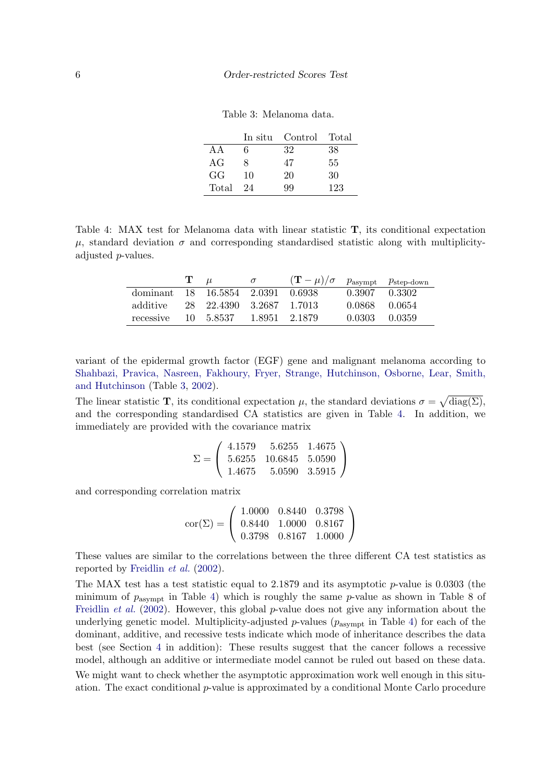<span id="page-5-0"></span>

| Table 3: Melanoma data. |  |
|-------------------------|--|
|-------------------------|--|

|       |    | In situ Control Total |     |
|-------|----|-----------------------|-----|
| A A   | 6  | 32                    | 38  |
| AG    |    | 47                    | 55  |
| GG    | 10 | 20                    | 30  |
| Total | 24 | qq                    | 123 |

<span id="page-5-1"></span>Table 4: MAX test for Melanoma data with linear statistic T, its conditional expectation  $\mu$ , standard deviation  $\sigma$  and corresponding standardised statistic along with multiplicityadjusted p-values.

|                                   | $\mathbf{T}$ $\mu$ |                          | $\sigma$ | $(\mathbf{T}-\mu)/\sigma$ $p_{\text{asympt}}$ $p_{\text{step-down}}$ |               |        |
|-----------------------------------|--------------------|--------------------------|----------|----------------------------------------------------------------------|---------------|--------|
| dominant 18 16.5854 2.0391 0.6938 |                    |                          |          |                                                                      | 0.3907        | 0.3302 |
| additive                          |                    | 28 22.4390 3.2687 1.7013 |          |                                                                      | 0.0868 0.0654 |        |
| recessive 10 5.8537 1.8951 2.1879 |                    |                          |          |                                                                      | 0.0303        | 0.0359 |

variant of the epidermal growth factor (EGF) gene and malignant melanoma according to [Shahbazi, Pravica, Nasreen, Fakhoury, Fryer, Strange, Hutchinson, Osborne, Lear, Smith,](#page-11-5) [and Hutchinson](#page-11-5) (Table [3,](#page-5-0) [2002\)](#page-11-5).

The linear statistic **T**, its conditional expectation  $\mu$ , the standard deviations  $\sigma = \sqrt{\text{diag}(\Sigma)}$ , and the corresponding standardised CA statistics are given in Table [4.](#page-5-1) In addition, we immediately are provided with the covariance matrix

$$
\Sigma = \left(\begin{array}{ccc} 4.1579 & 5.6255 & 1.4675 \\ 5.6255 & 10.6845 & 5.0590 \\ 1.4675 & 5.0590 & 3.5915 \end{array}\right)
$$

and corresponding correlation matrix

$$
cor(\Sigma) = \left(\begin{array}{ccc} 1.0000 & 0.8440 & 0.3798 \\ 0.8440 & 1.0000 & 0.8167 \\ 0.3798 & 0.8167 & 1.0000 \end{array}\right)
$$

These values are similar to the correlations between the three different CA test statistics as reported by [Freidlin](#page-10-2) *et al.* [\(2002\)](#page-10-2).

The MAX test has a test statistic equal to  $2.1879$  and its asymptotic p-value is  $0.0303$  (the minimum of  $p_{\text{asympt}}$  in Table [4\)](#page-5-1) which is roughly the same p-value as shown in Table 8 of [Freidlin](#page-10-2) *et al.* [\(2002\)](#page-10-2). However, this global p-value does not give any information about the underlying genetic model. Multiplicity-adjusted  $p$ -values ( $p_{\text{asympt}}$  in Table [4\)](#page-5-1) for each of the dominant, additive, and recessive tests indicate which mode of inheritance describes the data best (see Section [4](#page-7-0) in addition): These results suggest that the cancer follows a recessive model, although an additive or intermediate model cannot be ruled out based on these data. We might want to check whether the asymptotic approximation work well enough in this situ-

ation. The exact conditional p-value is approximated by a conditional Monte Carlo procedure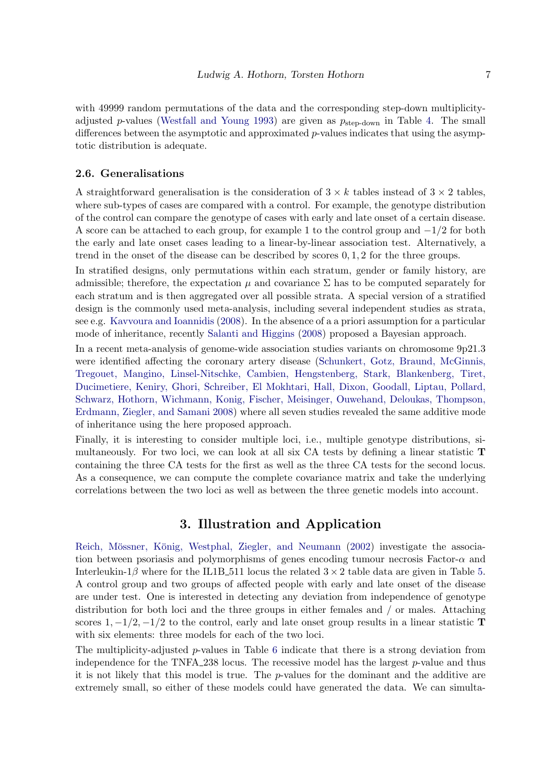with 49999 random permutations of the data and the corresponding step-down multiplicity-adjusted p-values [\(Westfall and Young 1993\)](#page-11-6) are given as  $p_{step-down}$  in Table [4.](#page-5-1) The small differences between the asymptotic and approximated p-values indicates that using the asymptotic distribution is adequate.

#### 2.6. Generalisations

A straightforward generalisation is the consideration of  $3 \times k$  tables instead of  $3 \times 2$  tables, where sub-types of cases are compared with a control. For example, the genotype distribution of the control can compare the genotype of cases with early and late onset of a certain disease. A score can be attached to each group, for example 1 to the control group and  $-1/2$  for both the early and late onset cases leading to a linear-by-linear association test. Alternatively, a trend in the onset of the disease can be described by scores 0, 1, 2 for the three groups.

In stratified designs, only permutations within each stratum, gender or family history, are admissible; therefore, the expectation  $\mu$  and covariance  $\Sigma$  has to be computed separately for each stratum and is then aggregated over all possible strata. A special version of a stratified design is the commonly used meta-analysis, including several independent studies as strata, see e.g. [Kavvoura and Ioannidis](#page-10-5) [\(2008\)](#page-10-5). In the absence of a a priori assumption for a particular mode of inheritance, recently [Salanti and Higgins](#page-11-7) [\(2008\)](#page-11-7) proposed a Bayesian approach.

In a recent meta-analysis of genome-wide association studies variants on chromosome 9p21.3 were identified affecting the coronary artery disease [\(Schunkert, Gotz, Braund, McGinnis,](#page-11-8) [Tregouet, Mangino, Linsel-Nitschke, Cambien, Hengstenberg, Stark, Blankenberg, Tiret,](#page-11-8) [Ducimetiere, Keniry, Ghori, Schreiber, El Mokhtari, Hall, Dixon,](#page-11-8) Goodall, Liptau, Pollard, [Schwarz, Hothorn, Wichmann, Konig, Fischer, Meisinger, Ouwehand, Deloukas, Thompson,](#page-11-8) [Erdmann, Ziegler, and Samani 2008\)](#page-11-8) where all seven studies revealed the same additive mode of inheritance using the here proposed approach.

Finally, it is interesting to consider multiple loci, i.e., multiple genotype distributions, simultaneously. For two loci, we can look at all six CA tests by defining a linear statistic T containing the three CA tests for the first as well as the three CA tests for the second locus. As a consequence, we can compute the complete covariance matrix and take the underlying correlations between the two loci as well as between the three genetic models into account.

## 3. Illustration and Application

Reich, Mössner, König, Westphal, Ziegler, and Neumann [\(2002\)](#page-10-6) investigate the association between psoriasis and polymorphisms of genes encoding tumour necrosis Factor- $\alpha$  and Interleukin-1 $\beta$  where for the IL1B-511 locus the related  $3 \times 2$  table data are given in Table [5.](#page-7-1) A control group and two groups of affected people with early and late onset of the disease are under test. One is interested in detecting any deviation from independence of genotype distribution for both loci and the three groups in either females and / or males. Attaching scores 1,  $-1/2$ ,  $-1/2$  to the control, early and late onset group results in a linear statistic T with six elements: three models for each of the two loci.

The multiplicity-adjusted  $p$ -values in Table [6](#page-8-0) indicate that there is a strong deviation from independence for the TNFA 238 locus. The recessive model has the largest  $p$ -value and thus it is not likely that this model is true. The p-values for the dominant and the additive are extremely small, so either of these models could have generated the data. We can simulta-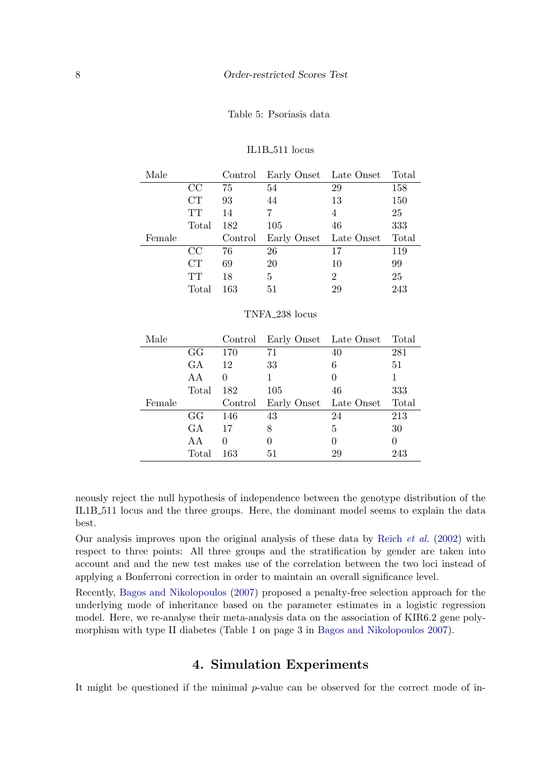#### <span id="page-7-1"></span>Table 5: Psoriasis data

IL1B<sub>-511</sub> locus

| Male   |           | Control | Early Onset Late Onset     |                | Total |
|--------|-----------|---------|----------------------------|----------------|-------|
|        | CC        | 75      | 54                         | 29             | 158   |
|        | CT        | 93      | 44                         | 13             | 150   |
|        | <b>TT</b> | 14      | 7                          | 4              | 25    |
|        | Total     | 182     | 105                        | 46             | 333   |
| Female |           | Control | Early Onset                | Late Onset     | Total |
|        | CC        | 76      | 26                         | 17             | 119   |
|        | CT        | 69      | 20                         | 10             | 99    |
|        | <b>TT</b> | 18      | 5                          | $\overline{2}$ | 25    |
|        | Total     | 163     | 51                         | 29             | 243   |
|        |           |         | TNFA <sub>-238</sub> locus |                |       |
|        |           |         |                            |                |       |

| Male   |       | Control  | Early Onset Late Onset Total |          |          |
|--------|-------|----------|------------------------------|----------|----------|
|        | GG    | 170      | 71                           | 40       | 281      |
|        | GA    | 12       | 33                           | 6        | 51       |
|        | AA    | $\theta$ | 1                            | $\theta$ | 1        |
|        | Total | 182      | 105                          | 46       | 333      |
|        |       |          |                              |          |          |
| Female |       | Control  | Early Onset Late Onset       |          | Total    |
|        | GG    | 146      | 43                           | 24       | 213      |
|        | GA    | 17       | 8                            | 5        | 30       |
|        | AA    | $\theta$ | $\theta$                     | $\theta$ | $\theta$ |

neously reject the null hypothesis of independence between the genotype distribution of the IL1B 511 locus and the three groups. Here, the dominant model seems to explain the data best.

Our analysis improves upon the original analysis of these data by [Reich](#page-10-6) *et al.* [\(2002\)](#page-10-6) with respect to three points: All three groups and the stratification by gender are taken into account and and the new test makes use of the correlation between the two loci instead of applying a Bonferroni correction in order to maintain an overall significance level.

Recently, [Bagos and Nikolopoulos](#page-10-7) [\(2007\)](#page-10-7) proposed a penalty-free selection approach for the underlying mode of inheritance based on the parameter estimates in a logistic regression model. Here, we re-analyse their meta-analysis data on the association of KIR6.2 gene polymorphism with type II diabetes (Table 1 on page 3 in [Bagos and Nikolopoulos 2007\)](#page-10-7).

# 4. Simulation Experiments

<span id="page-7-0"></span>It might be questioned if the minimal p-value can be observed for the correct mode of in-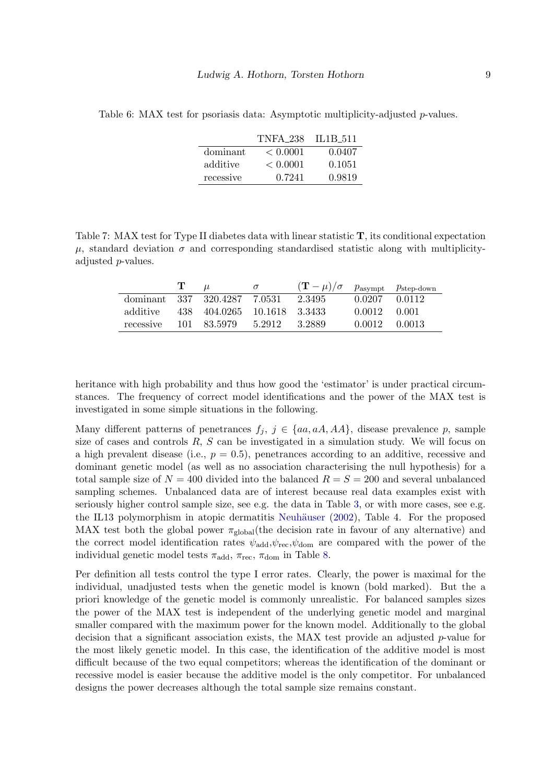|           | TNFA 238 | <b>IL1B 511</b> |
|-----------|----------|-----------------|
| dominant  | < 0.0001 | 0.0407          |
| additive  | < 0.0001 | 0.1051          |
| recessive | 0.7241   | 0.9819          |

<span id="page-8-0"></span>Table 6: MAX test for psoriasis data: Asymptotic multiplicity-adjusted *p*-values.

Table 7: MAX test for Type II diabetes data with linear statistic T, its conditional expectation  $\mu$ , standard deviation  $\sigma$  and corresponding standardised statistic along with multiplicityadjusted *p*-values.

|                              | Т. | $\mu$                       | $\sigma$ | $(\mathbf{T} - \mu)/\sigma$ $p_{\text{asympt}}$ $p_{\text{step-down}}$ |               |        |
|------------------------------|----|-----------------------------|----------|------------------------------------------------------------------------|---------------|--------|
| dominant 337 320.4287 7.0531 |    |                             |          | 2.3495                                                                 | 0.0207 0.0112 |        |
| additive                     |    | 438 404.0265 10.1618 3.3433 |          |                                                                        | 0.0012 0.001  |        |
| recessive                    |    | 101 83.5979 5.2912          |          | 3.2889                                                                 | 0.0012        | 0.0013 |

heritance with high probability and thus how good the 'estimator' is under practical circumstances. The frequency of correct model identifications and the power of the MAX test is investigated in some simple situations in the following.

Many different patterns of penetrances  $f_j, j \in \{aa, aA, AA\}$ , disease prevalence p, sample size of cases and controls  $R$ ,  $S$  can be investigated in a simulation study. We will focus on a high prevalent disease (i.e.,  $p = 0.5$ ), penetrances according to an additive, recessive and dominant genetic model (as well as no association characterising the null hypothesis) for a total sample size of  $N = 400$  divided into the balanced  $R = S = 200$  and several unbalanced sampling schemes. Unbalanced data are of interest because real data examples exist with seriously higher control sample size, see e.g. the data in Table [3,](#page-5-0) or with more cases, see e.g. the IL13 polymorphism in atopic dermatitis Neuhäuser  $(2002)$ , Table 4. For the proposed MAX test both the global power  $\pi_{\text{global}}$  (the decision rate in favour of any alternative) and the correct model identification rates  $\psi_{\text{add}}, \psi_{\text{rec}}, \psi_{\text{dom}}$  are compared with the power of the individual genetic model tests  $\pi_{\text{add}}$ ,  $\pi_{\text{rec}}$ ,  $\pi_{\text{dom}}$  in Table [8.](#page-9-0)

Per definition all tests control the type I error rates. Clearly, the power is maximal for the individual, unadjusted tests when the genetic model is known (bold marked). But the a priori knowledge of the genetic model is commonly unrealistic. For balanced samples sizes the power of the MAX test is independent of the underlying genetic model and marginal smaller compared with the maximum power for the known model. Additionally to the global decision that a significant association exists, the MAX test provide an adjusted  $p$ -value for the most likely genetic model. In this case, the identification of the additive model is most difficult because of the two equal competitors; whereas the identification of the dominant or recessive model is easier because the additive model is the only competitor. For unbalanced designs the power decreases although the total sample size remains constant.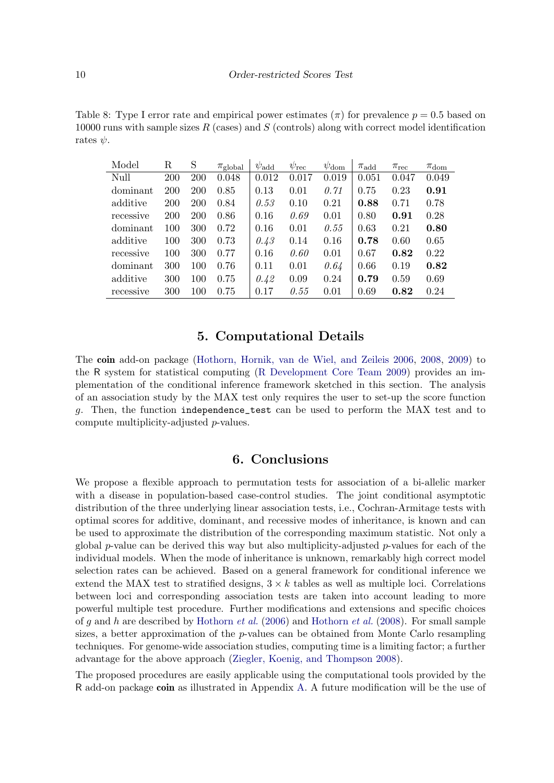<span id="page-9-0"></span>Table 8: Type I error rate and empirical power estimates ( $\pi$ ) for prevalence  $p = 0.5$  based on 10000 runs with sample sizes  $R$  (cases) and  $S$  (controls) along with correct model identification rates  $\psi$ .

| Model     | R   | S          | $\pi_{\text{global}}$ | $\psi_{\rm add}$ | $\psi_{\text{rec}}$ | $\psi_{\rm dom}$ | $\pi_{\mathrm{add}}$ | $\pi_{\mathrm{rec}}$ | $\pi_{\text{dom}}$ |
|-----------|-----|------------|-----------------------|------------------|---------------------|------------------|----------------------|----------------------|--------------------|
| Null      | 200 | <b>200</b> | 0.048                 | 0.012            | 0.017               | 0.019            | 0.051                | 0.047                | 0.049              |
| dominant  | 200 | 200        | 0.85                  | 0.13             | 0.01                | 0.71             | 0.75                 | 0.23                 | 0.91               |
| additive  | 200 | <b>200</b> | 0.84                  | 0.53             | 0.10                | 0.21             | 0.88                 | 0.71                 | 0.78               |
| recessive | 200 | <b>200</b> | 0.86                  | 0.16             | 0.69                | 0.01             | 0.80                 | 0.91                 | 0.28               |
| dominant  | 100 | 300        | 0.72                  | 0.16             | 0.01                | 0.55             | 0.63                 | 0.21                 | 0.80               |
| additive  | 100 | 300        | 0.73                  | 0.43             | 0.14                | 0.16             | 0.78                 | 0.60                 | 0.65               |
| recessive | 100 | 300        | 0.77                  | 0.16             | 0.60                | 0.01             | 0.67                 | 0.82                 | 0.22               |
| dominant  | 300 | 100        | 0.76                  | 0.11             | 0.01                | 0.64             | 0.66                 | 0.19                 | 0.82               |
| additive  | 300 | 100        | 0.75                  | 0.42             | 0.09                | 0.24             | 0.79                 | 0.59                 | 0.69               |
| recessive | 300 | 100        | 0.75                  | 0.17             | 0.55                | 0.01             | 0.69                 | 0.82                 | 0.24               |

## 5. Computational Details

The coin add-on package [\(Hothorn, Hornik, van de Wiel, and Zeileis 2006,](#page-10-9) [2008,](#page-10-10) [2009\)](#page-10-11) to the R system for statistical computing [\(R Development Core Team 2009\)](#page-10-12) provides an implementation of the conditional inference framework sketched in this section. The analysis of an association study by the MAX test only requires the user to set-up the score function g. Then, the function independence\_test can be used to perform the MAX test and to compute multiplicity-adjusted p-values.

## 6. Conclusions

We propose a flexible approach to permutation tests for association of a bi-allelic marker with a disease in population-based case-control studies. The joint conditional asymptotic distribution of the three underlying linear association tests, i.e., Cochran-Armitage tests with optimal scores for additive, dominant, and recessive modes of inheritance, is known and can be used to approximate the distribution of the corresponding maximum statistic. Not only a global p-value can be derived this way but also multiplicity-adjusted p-values for each of the individual models. When the mode of inheritance is unknown, remarkably high correct model selection rates can be achieved. Based on a general framework for conditional inference we extend the MAX test to stratified designs,  $3 \times k$  tables as well as multiple loci. Correlations between loci and corresponding association tests are taken into account leading to more powerful multiple test procedure. Further modifications and extensions and specific choices of g and h are described by [Hothorn](#page-10-9) *et al.* [\(2006\)](#page-10-9) and [Hothorn](#page-10-10) *et al.* [\(2008\)](#page-10-10). For small sample sizes, a better approximation of the  $p$ -values can be obtained from Monte Carlo resampling techniques. For genome-wide association studies, computing time is a limiting factor; a further advantage for the above approach [\(Ziegler, Koenig, and Thompson 2008\)](#page-11-9).

The proposed procedures are easily applicable using the computational tools provided by the R add-on package coin as illustrated in Appendix [A.](#page-12-0) A future modification will be the use of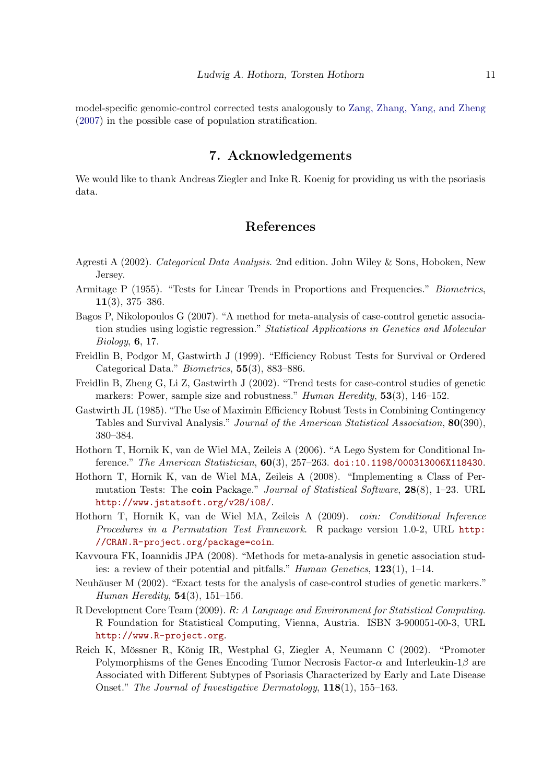model-specific genomic-control corrected tests analogously to [Zang, Zhang, Yang, and Zheng](#page-11-10) [\(2007\)](#page-11-10) in the possible case of population stratification.

## 7. Acknowledgements

We would like to thank Andreas Ziegler and Inke R. Koenig for providing us with the psoriasis data.

# References

- <span id="page-10-0"></span>Agresti A (2002). *Categorical Data Analysis*. 2nd edition. John Wiley & Sons, Hoboken, New Jersey.
- <span id="page-10-1"></span>Armitage P (1955). "Tests for Linear Trends in Proportions and Frequencies." *Biometrics*, 11(3), 375–386.
- <span id="page-10-7"></span>Bagos P, Nikolopoulos G (2007). "A method for meta-analysis of case-control genetic association studies using logistic regression." *Statistical Applications in Genetics and Molecular Biology*, 6, 17.
- <span id="page-10-4"></span>Freidlin B, Podgor M, Gastwirth J (1999). "Efficiency Robust Tests for Survival or Ordered Categorical Data." *Biometrics*, 55(3), 883–886.
- <span id="page-10-2"></span>Freidlin B, Zheng G, Li Z, Gastwirth J (2002). "Trend tests for case-control studies of genetic markers: Power, sample size and robustness." *Human Heredity*, 53(3), 146–152.
- <span id="page-10-3"></span>Gastwirth JL (1985). "The Use of Maximin Efficiency Robust Tests in Combining Contingency Tables and Survival Analysis." *Journal of the American Statistical Association*, 80(390), 380–384.
- <span id="page-10-9"></span>Hothorn T, Hornik K, van de Wiel MA, Zeileis A (2006). "A Lego System for Conditional Inference." *The American Statistician*, 60(3), 257–263. [doi:10.1198/000313006X118430](http://dx.doi.org/10.1198/000313006X118430).
- <span id="page-10-10"></span>Hothorn T, Hornik K, van de Wiel MA, Zeileis A (2008). "Implementing a Class of Permutation Tests: The coin Package." *Journal of Statistical Software*, 28(8), 1–23. URL <http://www.jstatsoft.org/v28/i08/>.
- <span id="page-10-11"></span>Hothorn T, Hornik K, van de Wiel MA, Zeileis A (2009). *coin: Conditional Inference Procedures in a Permutation Test Framework*. R package version 1.0-2, URL [http:](http://CRAN.R-project.org/package=coin) [//CRAN.R-project.org/package=coin](http://CRAN.R-project.org/package=coin).
- <span id="page-10-5"></span>Kavvoura FK, Ioannidis JPA (2008). "Methods for meta-analysis in genetic association studies: a review of their potential and pitfalls." *Human Genetics*, 123(1), 1–14.
- <span id="page-10-8"></span>Neuhäuser M (2002). "Exact tests for the analysis of case-control studies of genetic markers." *Human Heredity*, 54(3), 151–156.
- <span id="page-10-12"></span>R Development Core Team (2009). R*: A Language and Environment for Statistical Computing*. R Foundation for Statistical Computing, Vienna, Austria. ISBN 3-900051-00-3, URL <http://www.R-project.org>.
- <span id="page-10-6"></span>Reich K, Mössner R, König IR, Westphal G, Ziegler A, Neumann C (2002). "Promoter Polymorphisms of the Genes Encoding Tumor Necrosis Factor- $\alpha$  and Interleukin-1 $\beta$  are Associated with Different Subtypes of Psoriasis Characterized by Early and Late Disease Onset." *The Journal of Investigative Dermatology*, 118(1), 155–163.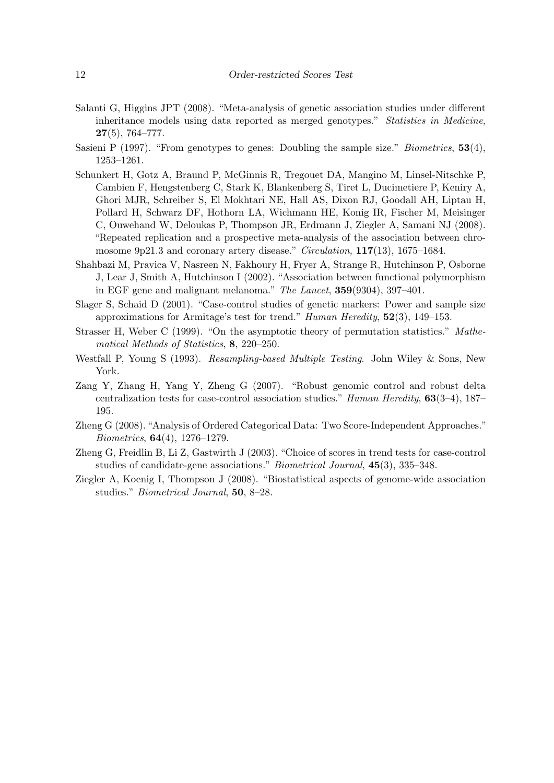- <span id="page-11-7"></span>Salanti G, Higgins JPT (2008). "Meta-analysis of genetic association studies under different inheritance models using data reported as merged genotypes." *Statistics in Medicine*, 27(5), 764–777.
- <span id="page-11-0"></span>Sasieni P (1997). "From genotypes to genes: Doubling the sample size." *Biometrics*, 53(4), 1253–1261.
- <span id="page-11-8"></span>Schunkert H, Gotz A, Braund P, McGinnis R, Tregouet DA, Mangino M, Linsel-Nitschke P, Cambien F, Hengstenberg C, Stark K, Blankenberg S, Tiret L, Ducimetiere P, Keniry A, Ghori MJR, Schreiber S, El Mokhtari NE, Hall AS, Dixon RJ, Goodall AH, Liptau H, Pollard H, Schwarz DF, Hothorn LA, Wichmann HE, Konig IR, Fischer M, Meisinger C, Ouwehand W, Deloukas P, Thompson JR, Erdmann J, Ziegler A, Samani NJ (2008). "Repeated replication and a prospective meta-analysis of the association between chromosome 9p21.3 and coronary artery disease." *Circulation*, 117(13), 1675–1684.
- <span id="page-11-5"></span>Shahbazi M, Pravica V, Nasreen N, Fakhoury H, Fryer A, Strange R, Hutchinson P, Osborne J, Lear J, Smith A, Hutchinson I (2002). "Association between functional polymorphism in EGF gene and malignant melanoma." *The Lancet*, 359(9304), 397–401.
- <span id="page-11-2"></span>Slager S, Schaid D (2001). "Case-control studies of genetic markers: Power and sample size approximations for Armitage's test for trend." *Human Heredity*, 52(3), 149–153.
- <span id="page-11-1"></span>Strasser H, Weber C (1999). "On the asymptotic theory of permutation statistics." *Mathematical Methods of Statistics*, 8, 220–250.
- <span id="page-11-6"></span>Westfall P, Young S (1993). *Resampling-based Multiple Testing*. John Wiley & Sons, New York.
- <span id="page-11-10"></span>Zang Y, Zhang H, Yang Y, Zheng G (2007). "Robust genomic control and robust delta centralization tests for case-control association studies." *Human Heredity*, 63(3–4), 187– 195.
- <span id="page-11-4"></span>Zheng G (2008). "Analysis of Ordered Categorical Data: Two Score-Independent Approaches." *Biometrics*, 64(4), 1276–1279.
- <span id="page-11-3"></span>Zheng G, Freidlin B, Li Z, Gastwirth J (2003). "Choice of scores in trend tests for case-control studies of candidate-gene associations." *Biometrical Journal*, 45(3), 335–348.
- <span id="page-11-9"></span>Ziegler A, Koenig I, Thompson J (2008). "Biostatistical aspects of genome-wide association studies." *Biometrical Journal*, 50, 8–28.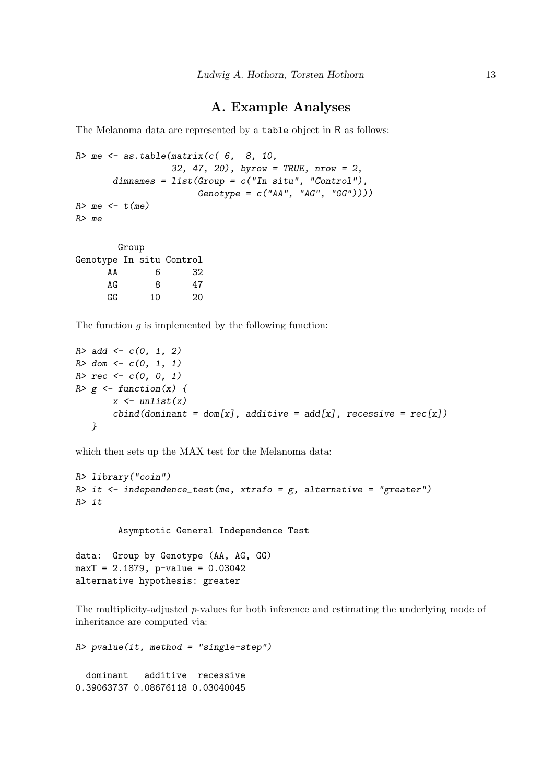## A. Example Analyses

<span id="page-12-0"></span>The Melanoma data are represented by a table object in R as follows:

```
R me \leq as.table(matrix(c( 6, 8, 10,
                  32, 47, 20), byrow = TRUE, nrow = 2,
       dimensiones = list(Group = c("In situ", "Control"),Genotype = c("AA", "AG", "GG"))))R > me < -t (me)
R> me
        Group
Genotype In situ Control
```
AA 6 32 AG 8 47 GG 10 20

The function  $g$  is implemented by the following function:

```
R > add \leq -c(0, 1, 2)R > dom \leftarrow c(0, 1, 1)R > rec < -c(0, 0, 1)R > g <- function(x) {
        x \leftarrow \text{unlist}(x)cbind(dominant = dom[x], additive = add[x], recessive = rec[x])}
```
which then sets up the MAX test for the Melanoma data:

```
R> library("coin")
R> it <- independence_test(me, xtrafo = g, alternative = "greater")
R> it
```
Asymptotic General Independence Test

data: Group by Genotype (AA, AG, GG) maxT = 2.1879, p-value = 0.03042 alternative hypothesis: greater

The multiplicity-adjusted p-values for both inference and estimating the underlying mode of inheritance are computed via:

```
R> pvalue(it, method = "single-step")
  dominant additive recessive
0.39063737 0.08676118 0.03040045
```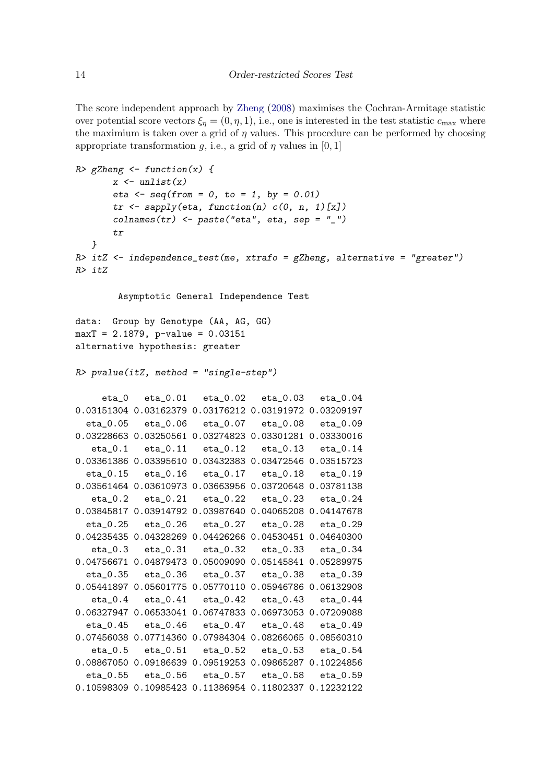The score independent approach by [Zheng](#page-11-4) [\(2008\)](#page-11-4) maximises the Cochran-Armitage statistic over potential score vectors  $\xi_n = (0, \eta, 1)$ , i.e., one is interested in the test statistic  $c_{\text{max}}$  where the maximium is taken over a grid of  $\eta$  values. This procedure can be performed by choosing appropriate transformation g, i.e., a grid of  $\eta$  values in [0, 1]

```
R> gZheng \leq function(x) {
       x \leftarrow \text{unlist}(x)eta \leq seq(from = 0, to = 1, by = 0.01)
       tr \leftarrow sapply(eta, function(n) c(0, n, 1)[x])collnames(tr) <- paste("eta", eta, sep = "_")
       tr
   }
R> itZ \le independence_test(me, xtrafo = gZheng, alternative = "greater")
R> itZ
        Asymptotic General Independence Test
data: Group by Genotype (AA, AG, GG)
maxT = 2.1879, p-value = 0.03151
alternative hypothesis: greater
R> pvalue(itZ, method = "single-step")
    eta_0 eta_0.01 eta_0.02 eta_0.03 eta_0.04
0.03151304 0.03162379 0.03176212 0.03191972 0.03209197
  eta_0.05 eta_0.06 eta_0.07 eta_0.08 eta_0.09
0.03228663 0.03250561 0.03274823 0.03301281 0.03330016
   eta_0.1 eta_0.11 eta_0.12 eta_0.13 eta_0.14
0.03361386 0.03395610 0.03432383 0.03472546 0.03515723
  eta_0.15 eta_0.16 eta_0.17 eta_0.18 eta_0.19
0.03561464 0.03610973 0.03663956 0.03720648 0.03781138
   eta_0.2 eta_0.21 eta_0.22 eta_0.23 eta_0.24
0.03845817 0.03914792 0.03987640 0.04065208 0.04147678
  eta_0.25 eta_0.26 eta_0.27 eta_0.28 eta_0.29
0.04235435 0.04328269 0.04426266 0.04530451 0.04640300
   eta_0.3 eta_0.31 eta_0.32 eta_0.33 eta_0.34
0.04756671 0.04879473 0.05009090 0.05145841 0.05289975
  eta_0.35 eta_0.36 eta_0.37 eta_0.38 eta_0.39
0.05441897 0.05601775 0.05770110 0.05946786 0.06132908
   eta_0.4 eta_0.41 eta_0.42 eta_0.43 eta_0.44
0.06327947 0.06533041 0.06747833 0.06973053 0.07209088
  eta_0.45 eta_0.46 eta_0.47 eta_0.48 eta_0.49
0.07456038 0.07714360 0.07984304 0.08266065 0.08560310
   eta_0.5 eta_0.51 eta_0.52 eta_0.53 eta_0.54
0.08867050 0.09186639 0.09519253 0.09865287 0.10224856
  eta_0.55 eta_0.56 eta_0.57 eta_0.58 eta_0.59
0.10598309 0.10985423 0.11386954 0.11802337 0.12232122
```